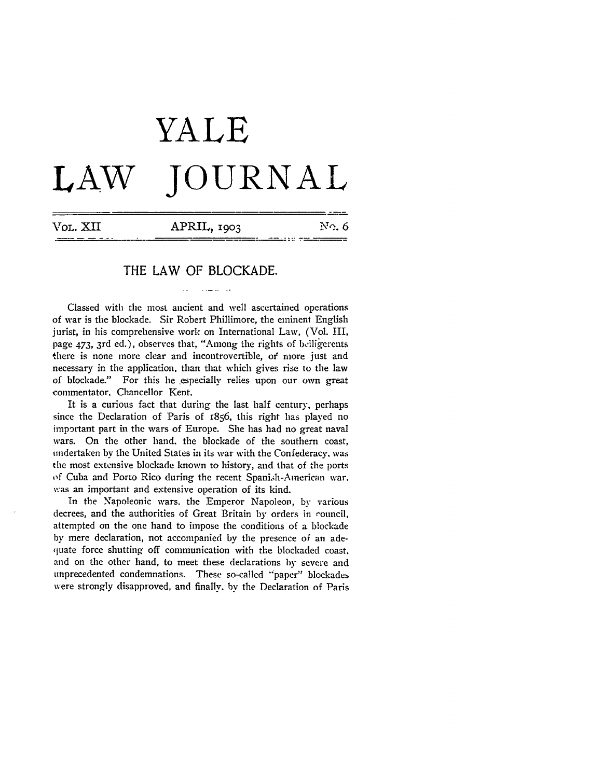## **YALE** LAW **JOURNAL**

| VOL. XII | APRIL, 1903 | $N2$ . 6                                                                                                                                                                                                                                                                                                                                                                                                                                                  |
|----------|-------------|-----------------------------------------------------------------------------------------------------------------------------------------------------------------------------------------------------------------------------------------------------------------------------------------------------------------------------------------------------------------------------------------------------------------------------------------------------------|
|          | ----        | $\mathcal{L}(\mathbf{X}) = \mathcal{L}(\mathbf{X}) = \mathcal{L}(\mathbf{X}) = \mathcal{L}(\mathbf{X}) = \mathcal{L}(\mathbf{X}) = \mathcal{L}(\mathbf{X}) = \mathcal{L}(\mathbf{X}) = \mathcal{L}(\mathbf{X}) = \mathcal{L}(\mathbf{X}) = \mathcal{L}(\mathbf{X}) = \mathcal{L}(\mathbf{X}) = \mathcal{L}(\mathbf{X}) = \mathcal{L}(\mathbf{X}) = \mathcal{L}(\mathbf{X}) = \mathcal{L}(\mathbf{X}) = \mathcal{L}(\mathbf{X}) = \mathcal{L}(\mathbf{X})$ |

## THE LAW OF BLOCKADE.

 $\sim$   $\sim$   $\sim$   $\sim$ 

Classed with the most ancient and well ascertained operations of war is the blockade. Sir Robert Phillimore, the eminent English jurist, in his comprehensive work on International Law, (Vol. III, page 473, 3rd ed.), observes that, "Among the rights of belligercnts there is none more clear and incontrovertible, of more just and necessary in the application, than that which gives rise to the law of blockade." For this he especially relies upon our own great commentator, Chancellor Kent.

It is a curious fact that during the last half century, perhaps since the Declaration of Paris of 1856, this right has played no important part in the wars of Europe. She has had no great naval wars. On the other hand. the blockade of the southern coast, undertaken by the United States in its war with the Confederacy, was the most extensive blockade known to history, and that of the ports of Cuba and Porto Rico during the recent Spani.l-American war. was an important and extensive operation of its kind.

In the Napoleonic wars. the Emperor Napoleon, by various decrees, and the authorities of Great Britain by orders in council, attempted on the one hand to impose the conditions of a blockade by mere declaration, not accompanied by the presence of an adequate force shutting off communication with the blockaded coast. and on the other hand, to meet these declarations by severe and unprecedented condemnations. These so-called "'paper" blockade: were strongly disapproved, and finally, bv the Declaration of Paris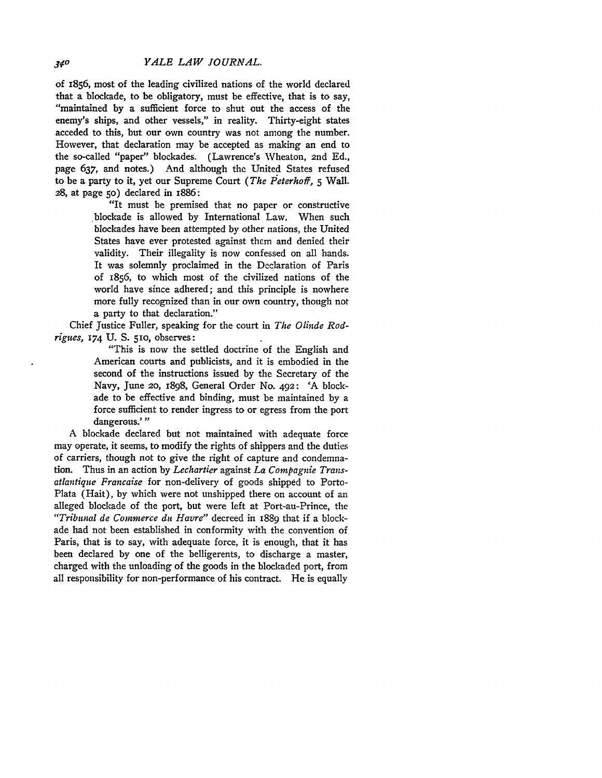of i856, most of the leading civilized nations of the world declared that a blockade, to be obligatory, must be effective, that is to say, "maintained by a sufficient force to shut out the access of the enemy's ships, and other vessels," in reality. Thirty-eight states acceded to this, but our own country was not among the number. However, that declaration may be accepted as making an end to the so-called "paper" blockades. (Lawrence's Wheaton, 2nd Ed., page 637, and notes.) And although the United States refused to be a party to it, yet our Supreme Court *(The Peterhoff*, 5 Wall. 28, at page **5o )** declared in i886:

"It must be premised that no paper or constructive blockade is allowed by International Law. When such blockades have been attempted by other nations, the United States have ever protested against them and denied their validity. Their illegality is now confessed on all hands. It was solemnly proclaimed in the Declaration of Paris of I856, to which most of the civilized nations of the world have since adhered; and this principle is nowhere more fully recognized than in our own country, though not a party to that declaration."

Chief Justice Fuller, speaking for the court in *The Olinde Rodrigues,* **174** U. **S.** 5io, observes:

> "This is now the settled doctrine of the English and American courts and publicists, and it is embodied in the second of the instructions issued by the Secretary of the Navy, June **2o,** 1898, General Order No. 492: 'A blockade to be effective and binding, must be maintained by a force sufficient to render ingress to or egress from the port dangerous.'"

A blockade declared but not maintained with adequate force may operate, it seems, to modify the rights of shippers and the duties of carriers, though not to give the right of capture and condemnation. Thus in an action by *Lechartier* against *La Compagnie Transatlantique Francaise* for non-delivery of goods shipped to Porto-Plata (Hait), by which were not unshipped there on account of an alleged blockade of the port, but were left at Port-au-Prince, the *"Tribunal de Commerce du Havre"* decreed in 1889 that if a blockade had not been established in conformity with the convention of Paris, that is to say, with adequate force, it is enough, that it has been declared by one of the belligerents, to discharge a master, charged with the unloading of the goods in the blockaded port, from all responsibility for non-performance of his contract. He is equally

 $340$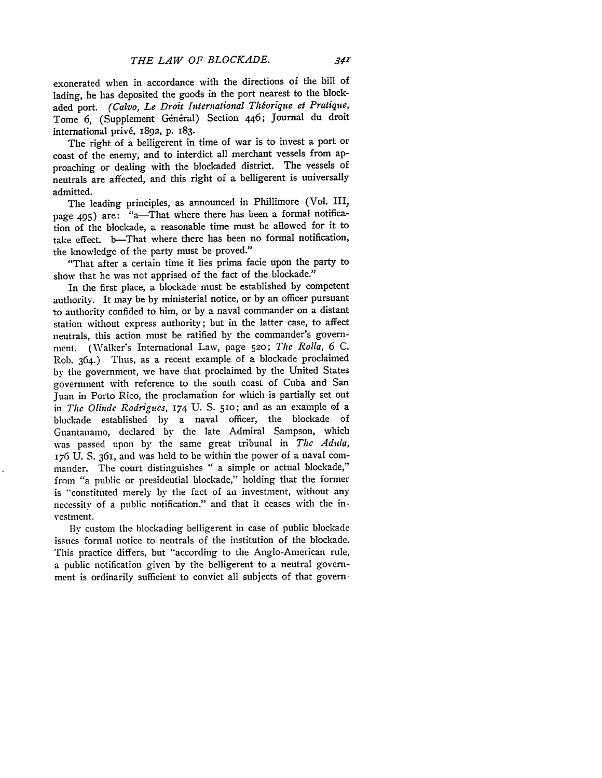exonerated when in accordance with the directions of the bill of lading, he has deposited the goods in the port nearest to the blockaded port. *(Calvo, Le Droit International Théorique et Pratique,* Tome 6, (Supplement Général) Section 446; Journal du droit international priv6, 1892, p. 183.

The right of a belligerent in time of war is to invest a port or coast of the enemy, and to interdict all merchant vessels from approaching or dealing with the blockaded district. The vessels of neutrals are affected, and this right of a belligerent is universally admitted.

The leading principles, as announced in Phillimore (Vol. III, page 495) are: "a-That where there has been a formal notification of the blockade, a reasonable time must be allowed for it to take effect. b-That where there has been no formal notification, the knowledge of the party must be proved."

"That after a certain time it lies prima facie upon the party to show that he was not apprised of the fact of the blockade."

In the first place, a blockade must be established by competent authority. It may be by ministerial notice, or by an officer pursuant to authority confided to him, or by a naval commander on a distant station without express authority; but in the latter case, to affect neutrals, this action must be ratified by the commander's government. (Walker's International Law, page 520; The Rolla, 6 C. Rol). 364.) Thus, as a recent example of a blockade proclaimed by the government, we have that proclaimed by the United States government with reference to the south coast of Cuba and San Juan in Porto Rico, the proclamation for which is partially set out in *The Olinde Rodrigues*, 174 U. S. 510; and as an example of a blockade established **by** a naval officer, the blockade of Guantanamo, declared by the late Admiral Sampson, which was passed upon by the same great tribunal in *The Adula,* 176 U. S. 361, and was held to be within the power of a naval commander. The court distinguishes " a simple or actual blockade," from "a public or presidential blockade," holding that the former is "constituted merely by the fact of an investment, without any necessity of a public notification." and that it ceases with the investment.

By custom the blockading belligerent in case of public blockade issues formal notice to neutrals of the institution of the blockade. This practice differs, but "according to the Anglo-American rule, a public notification given by the belligerent to a neutral government is ordinarily sufficient to convict all subjects of that govern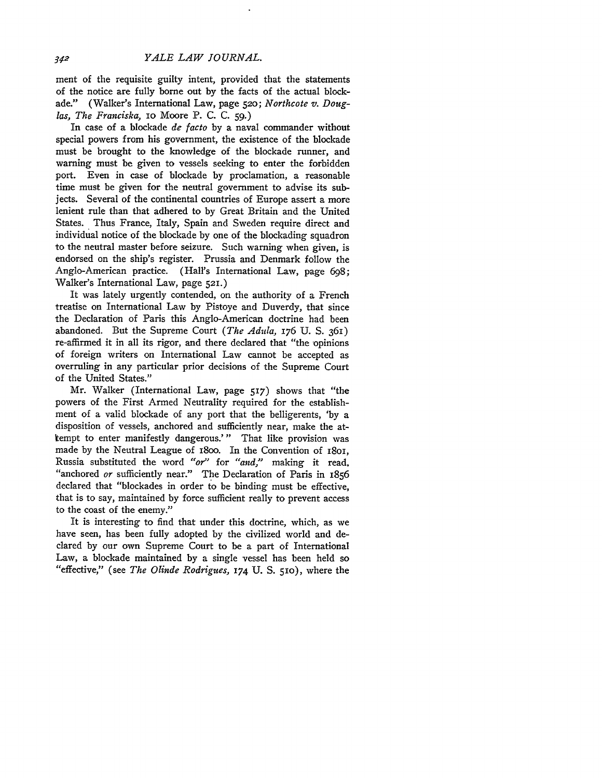ment of the requisite guilty intent, provided that the statements of the notice are fully borne out by the facts of the actual blockade." (Walker's International Law, page **520;** *Northcote v. Douglas, The Franciska,* io Moore P. **C. C.** 59.)

In case of a blockade *de* facto **by** a naval commander without special powers from his government, the existence of the blockade must be brought to the knowledge of the blockade runner, and warning must be given to vessels seeking to enter the forbidden port. Even in case of blockade **by** proclamation, a reasonable time must be given for the neutral government to advise its subjects. Several of the continental countries of Europe assert a more lenient rule than that adhered to **by** Great Britain and the United States. Thus France, Italy, Spain and Sweden require direct and individual notice of the blockade **by** one of the blockading squadron to the neutral master before seizure. Such warning when given, is endorsed on the ship's register. Prussia and Denmark follow the Anglo-American practice. (Hall's International Law, page 698; Walker's International Law, page **521.)**

It was lately urgently contended, on the authority of a French treatise on International Law **by** Pistoye and Duverdy, that since the Declaration of Paris this Anglo-American doctrine had been abandoned. But the Supreme Court *(The Adula,* 176 U. **S.** 361) re-affirmed it in all its rigor, and there declared that "the opinions of foreign writers on International Law cannot be accepted as overruling in any particular prior decisions of the Supreme Court of the United States."

Mr. Walker (International Law, page **517)** shows that "the powers of the First Armed Neutrality required for the establishment of a valid blockade of any port that the belligerents, **'by** a disposition of vessels, anchored and sufficiently near, make the attempt to enter manifestly dangerous.'" That like provision was made **by** the Neutral League of 18oo. In the Convention of i8oi, Russia substituted the word *"or"* for *"and,"'* making it read, "anchored *or* sufficiently near." The Declaration of Paris in 1856 declared that "blockades in order to be binding must be effective, that is to say, maintained by force sufficient really to prevent access to the coast of the enemy."

It is interesting to find that under this doctrine, which, as we have seen, has been fully adopted by the civilized world and declared by our own Supreme Court to be a part of International Law, a blockade maintained by a single vessel has been held so "effective," (see *The Olinde Rodrigues,* 174 **U. S. 5IO),** where the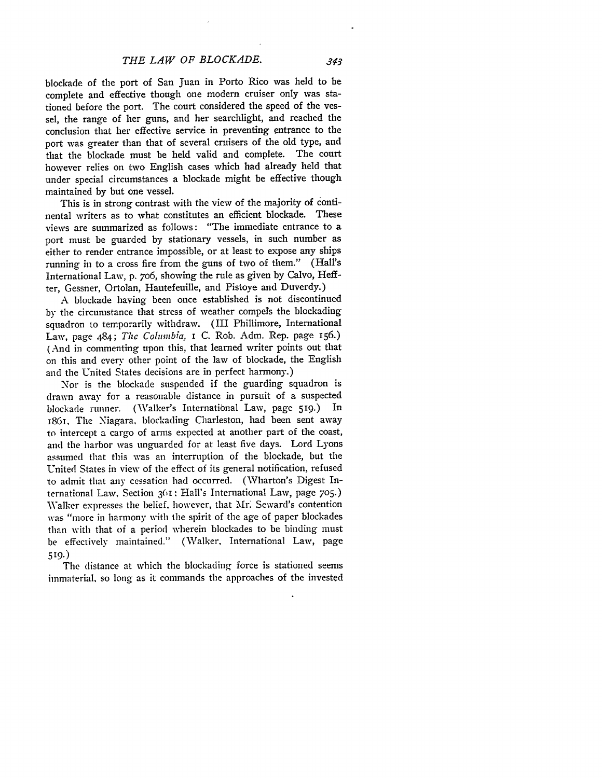blockade of the port of San Juan in Porto Rico was held to be complete and effective though one modem cruiser only was stationed before the port. The court considered the speed of the vessel, the range of her guns, and her searchlight, and reached the conclusion that her effective service in preventing entrance to the port was greater than that of several cruisers of the old type, and that the blockade must be held valid and complete. The court however relies on **two** English cases which had already held that under special circumstances a blockade might be effective though maintained **by** but one vessel.

This is in strong contrast with the view of the majority of continental writers as to what constitutes an efficient blockade. These views are summarized as follows: "The immediate entrance to a port must be guarded **by** stationary vessels, in such number as either to render entrance impossible, or at least to expose any ships running in to a cross fire from the guns of two of them." (Hall's International Law, **p.** 7o6, showing the rule as given **by** Calvo, Heffter, Gessner, Ortolan, Hautefeuille, and Pistoye and Duverdy.)

A blockade having been once established is not discontinued **by** the circumstance that stress of weather compels the blockading squadron to temporarily withdraw. (III Phillimore, International Law, page 484; *Thc Columbia,* i **C.** Rob. Adm. Rep. page 156.) (And in commenting upon this, that learned writer points out that on this and every other point of the law of blockade, the English and the United States decisions are in perfect harmony.)

Nor is the blockade suspended if the guarding squadron is drawn away for a reasonable distance in pursuit of a suspected blockade runner. (Walker's International Law, page 519.) In 186T. The Niagara, blockading Charleston, had been sent away to intercept a cargo of arms expected at another part of the coast, and the harbor was unguarded for at least five days. Lord Lyons assumed that this was an interruption of the blockade, but the United States in view of the effect of its general notification, refused to admit that any cessation had occurred. (Wharton's Digest International Law, Section 361: Hall's International Law, page **705.)** Walker expresses the belief. however, that Mr. Seward's contention was "more in harmony with the spirit of the age of paper blockades than with that of a period wherein blockades to be binding must be effectively maintained." (Walker, International Law, page **519.)**

The distance at which the blockading force is stationed seems immaterial, so long as it commands the approaches of the invested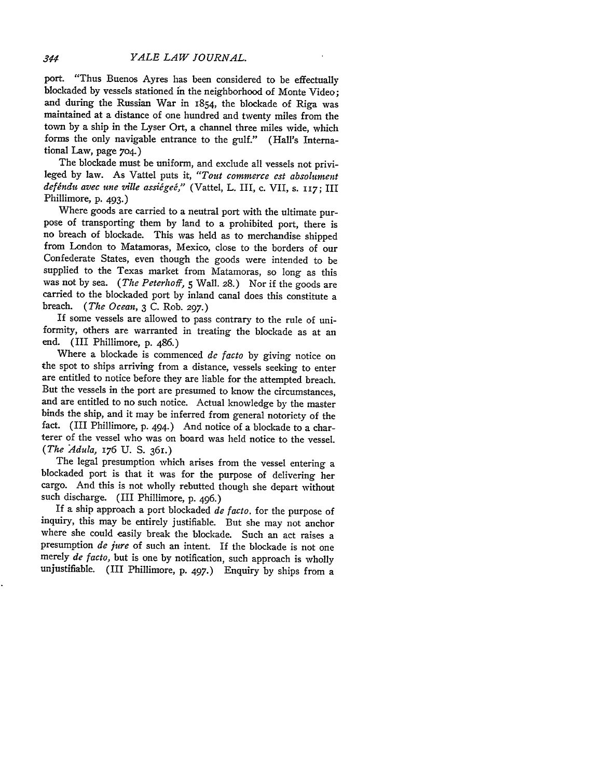port. "Thus Buenos Ayres has been considered to be effectually blockaded by vessels stationed in the neighborhood of Monte Video; and during the Russian War in 1854, the blockade of Riga was maintained at a distance of one hundred and twenty miles from the town by a ship in the Lyser Ort, a channel three miles wide, which forms the only navigable entrance to the gulf." (Hall's International Law, page 7o4.)

The blockade must be uniform, and exclude all vessels not privileged by law. As Vattel puts it, *"Tout commerce* est *absolument* deféndu avec une ville assiégeé," (Vattel, L. III, c. VII, s. 117; III Phillimore, p. 493.)

Where goods are carried to a neutral port with the ultimate purpose of transporting them by land to a prohibited port, there is no breach of blockade. This was held as to merchandise shipped from London to Matamoras, Mexico, close to the borders of our Confederate States, even though the goods were intended to be supplied to the Texas market from Matamoras, so long as this was not by sea. *(The Peterhoff,* 5 Wall. **28.)** Nor if the goods are carried to the blockaded port **by** inland canal does this constitute a breach. *(The Ocean,* 3 **C.** Rob. **297.)**

If some vessels are allowed to pass contrary to the rule of uniformity, others are warranted in treating the blockade as at an end. (III Phillimore, **p.** 486.)

Where a blockade is commenced *de facto* **by** giving notice on the spot to ships arriving from a distance, vessels seeking to enter are entitled to notice before they are liable for the attempted breach. But the vessels in the port are presumed to know the circumstances, and are entitled to no such notice. Actual knowledge by the master binds the ship, and it may be inferred from general notoriety of the fact. (III Phillimore, p. 494.) And notice of a blockade to a charterer of the vessel who was on board was held notice to the vessel. *(The Adula,* 176 U. S. 361.)

The legal presumption which arises from the vessel entering a blockaded port is that it was for the purpose of delivering her cargo. And this is not wholly rebutted though she depart without such discharge. (III Phillimore, p. 496.)

If a ship approach a port blockaded *de facto,* for the purpose of inquiry, this may be entirely justifiable. But she may not anchor where she could easily break the blockade. Such an act raises a presumption *de jure* of such an intent. If the blockade is not one merely *de facto,* but is one by notification, such approach is wholly unjustifiable. (III Phillimore, p. 497.) Enquiry by ships from a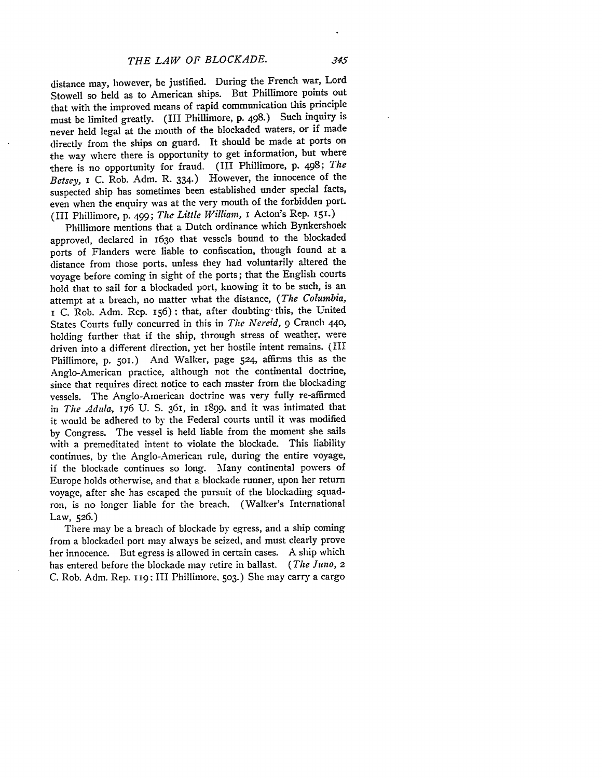distance may, however, be justified. During the French war, Lord Stowell so held as to American ships. But Phillimore points out that with the improved means of rapid communication this principle must be limited greatly. (III Phillimore, **p.** 498.) Such inquiry is never held legal at the mouth of the blockaded waters, or if made directly from the ships on guard. It should be made at ports on the way where there is opportunity to get information, but where there is no opportunity for fraud. (III Phillimore, p. 498; *The Betsey,* i C. Rob. Adm. R. 334.) However, the innocence of the suspected ship has sometimes been established under special facts, even when the enquiry was at the very mouth of the forbidden port. (III Phillimore, p. 499; *The Little William,* I Acton's Rep. 151.)

Phillimore mentions that a Dutch ordinance which Bynkershoek approved, declared in 1630 that vessels bound to the blockaded ports of Flanders were liable to confiscation, though found at a distance from those ports, unless they had voluntarily altered the voyage before coming in sight of the ports; that the English courts hold that to sail for a blockaded port, knowing it to be such, is an attempt at a breach, no matter what the distance, *(The Cohmbia,* I C. Rob. Adm. Rep. 156): that, after doubting- this, the United States Courts fully concurred in this in *The Nereid,* 9 Cranch **440,** holding further that if the ship, through stress of weather, were driven into a different direction, yet her hostile intent remains. (III Phillimore, p. 5O.) And Walker, page 524, affirms this as the Anglo-American practice, although not the continental doctrine, since that requires direct notice to each master from the blockading vessels. The Anglo-American doctrine was very fully re-affirmed in *The Adula,* 176 **U. S.** 361, in 1899, and it was intimated that it would be adhered to by the Federal courts until it was modified by Congress. The vessel is held liable from the moment she sails with a premeditated intent to violate the blockade. This liability continues, by the Anglo-American rule, during the entire voyage, if the blockade continues so long. Many continental powers of Europe holds otherwise, and that a blockade runner, upon her return voyage, after she has escaped the pursuit of the blockading squadron, is no longer liable for the breach. (Walker's International Law, 526.)

There may be a breach of blockade by egress, and a ship coming from a blockaded port may always be seized, and must clearly prove her innocence. But egress is allowed in certain cases. A ship which has entered before the blockade may retire in ballast. (The Juno, 2) C. Rob. Adm. Rep. 119:III Phillimore. **503.)** She may carry a cargo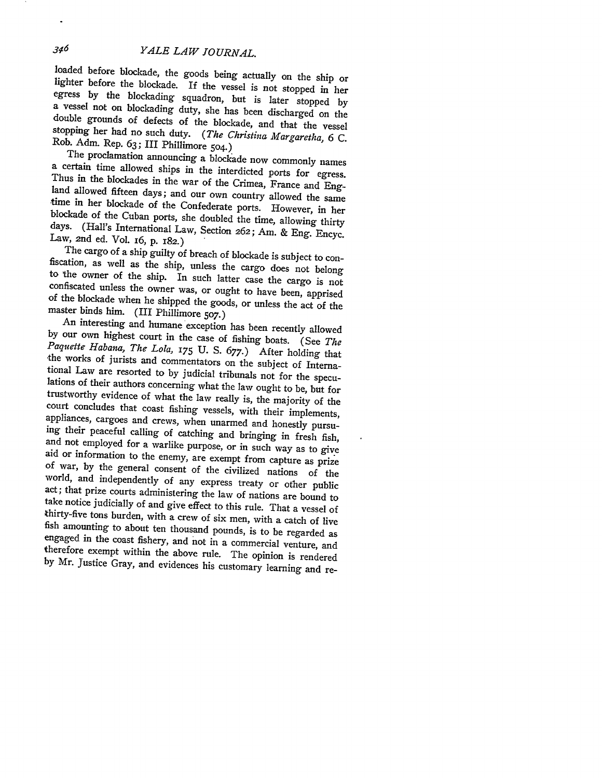loaded before blockade, the goods being actually on the slip in light<br>loaded before the blockade, if the vessel is not stopped in here were the blockading squadron, but is later stopped by<br>a vegrees by the blockading squa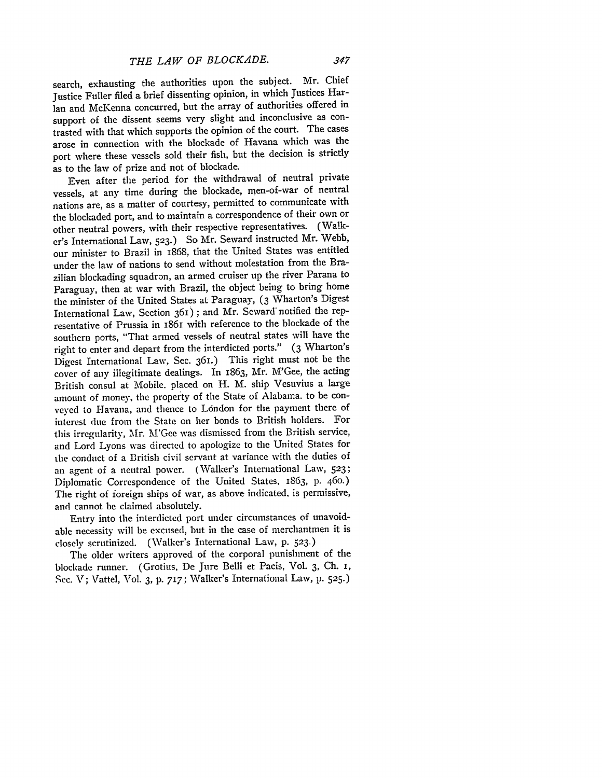search, exhausting the authorities upon the subject. Mr. Chief Justice Fuller filed a brief dissenting opinion, in which Justices Harlan and McKenna concurred, but the array of authorities offered in support of the dissent seems very slight and inconclusive as contrasted with that which supports the opinion of the court. The cases arose in connection with the blockade of Havana which was the port where these vessels sold their fish, but the decision is strictly as to the law of prize and not of blockade.

Even after the period for the withdrawal of neutral private vessels, at any time during the blockade, men-of-war of neutral nations are, as a matter of courtesy, permitted to communicate with the blockaded port, and to maintain a correspondence of their own or other neutral powers, with their respective representatives. (Walker's International Law, **523.)** So Mr. Seward instructed Mr. Webb, our minister to Brazil in 1868, that the United States was entitled under the law of nations to send without molestation from the Brazilian blockading squadron, an armed cruiser up the river Parana to Paraguay, then at war with Brazil, the object being to bring home the minister of the United States at Paraguay, (3 Wharton's Digest International Law, Section 361) ; and Mr. Seward'notified the representative of Prussia in i86I with reference to the blockade of the southern ports, "That armed vessels of neutral states will have the right to enter and depart from the interdicted ports." **(3** Wharton's Digest International Law, Sec. 361.) This right must not be the cover of any illegitimate dealings. In 1863, Mr. M'Gee, the acting British consul at Mobile. placed on H. M. ship Vesuvius a large amount of money, the property of the State of Alabama. to be conveyed to Havana, and thence to London for the payment there of interest due from the State on her bonds to British holders. For this irregularity, Mr. Mi'Gee was dismissed from the British service, and Lord Lyons was directed to apologize to the United States for the conduct of a British civil servant at variance with the duties of an agent of a neutral power. (Walker's International Law, **523;** Diplomatic Correspondence of the United States, 1863, **p.** 460.) The right of foreign ships of war, as above indicated, is permissive, and cannot be claimed absolutely.

Entry into the interdicted port under circumstances of unavoidable necessity will be excused, but in the case of merchantmen it is closely scrutinized. (Walker's International Law, p. **523.)**

The older writers approved of the corporal punishment of the blockade runner. (Grotius, De Jure Belli et Pacis, Vol. 3, Ch. **i,** Sec. V; Vattel, Vol. 3, p. 717; Walker's International Law, p. 525.)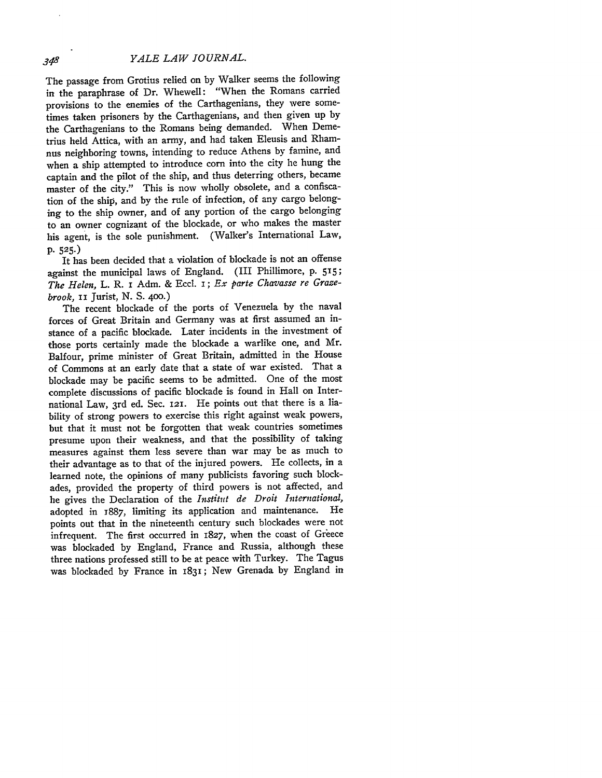*YALE LAW JO URNAL.*

The passage from Grotius relied on by Walker seems the following in the paraphrase of Dr. Whewell: "When the Romans carried provisions to the enemies of the Carthagenians, they were sometimes taken prisoners by the Carthagenians, and then given up by the Carthagenians to the Romans being demanded. When Demetrius held Attica, with an army, and had taken Eleusis and Rhamnus neighboring towns, intending to reduce Athens by famine, and when a ship attempted to introduce corn into the city he hung the captain and the pilot of the ship, and thus deterring others, became master of the city." This is now wholly obsolete, and a confiscation of the ship, and by the rule of infection, of any cargo belonging to the ship owner, and of any portion of the cargo belonging to an owner cognizant of the blockade, or who makes the master his agent, is the sole punishment. (Walker's International Law, p. **525.)**

It has been decided that a violation of blockade is not an offense against the municipal laws of England. (III Phillimore, p. **515;** *The Helen,* L. R. i Adm. & Eccl. **i;** *Ex parte Chavasse re Grazebrook,* **ii** Jurist, **N.** S. **400.)**

The recent blockade of the ports of Venezuela by the naval forces of Great Britain and Germany was at first assumed an instance of a pacific blockade. Later incidents in the investment of those ports certainly made the blockade a warlike one, and Mr. Balfour, prime minister of Great Britain, admitted in the House of Commons at an early date that a state of war existed. That a blockade may be pacific seems to be admitted. One of the most complete discussions of pacific blockade is found in Hall on International Law, 3rd ed. Sec. 121. He points out that there is a liability of strong powers to exercise this right against weak powers, but that it must not be forgotten that weak countries sometimes presume upon their weakness, and that the possibility of taking measures against them less severe than war may be as much to their advantage as to that of the injured powers. He collects, in a learned note, the opinions of many publicists favoring such blockades, provided the property of third powers is not affected, and he gives the Declaration of the *Institut de Droit International,* adopted in 1887, limiting its application and maintenance. He points out that in the nineteenth century such blockades were not infrequent. The first occurred in 1827, when the coast of Greece was blockaded by England, France and Russia, although these three nations professed still to be at peace with Turkey. The Tagus was blockaded by France in **1831;** New Grenada by England in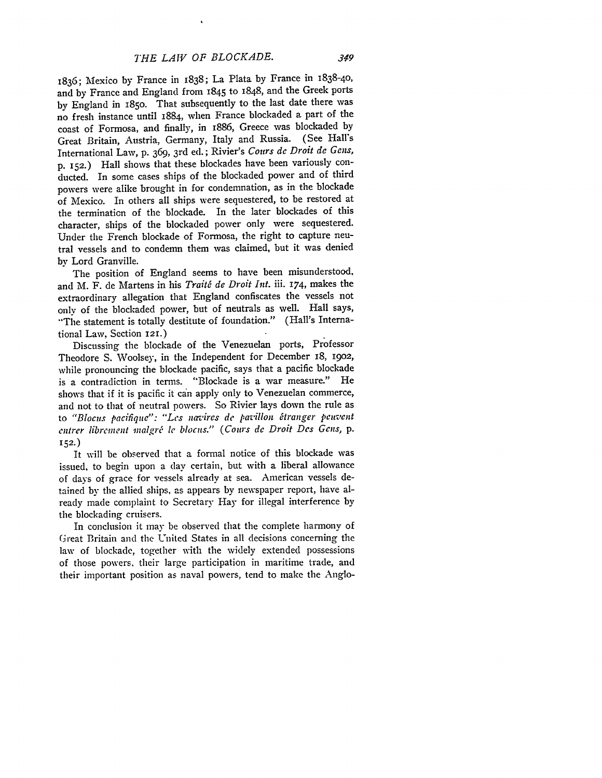1836; Mexico by France in 1838; La Plata by France in I838-4o, and by France and England from 1845 to 1848, and the Greek ports by England in I85o. That subsequently to the last date there was no fresh instance until 1884, when France blockaded a part of the coast of Formosa, and finally, in 1886, Greece was blockaded by Great Britain, Austria, Germany, Italy and Russia. (See Hall's International Law, p. *369,* 3rd ed.; Rivier's *Cours de Droit de Gens,* p. 152.) Hall shows that these blockades have been variously conducted. In some cases ships of the blockaded power and of third powers were alike brought in for condemnation, as in the blockade of Mexico. In others all ships were sequestered, to be restored at the termination of the blockade. In the later blockades of this character, ships of the blockaded power only were sequestered. Under the French blockade of Formosa, the right to capture neutral vessels and to condemn them was claimed, but it was denied by Lord Granville.

The position of England seems to have been misunderstood. and M. F. de Martens in his *Traité de Droit Int*. iii. 174, makes the extraordinary allegation that England confiscates the vessels not only of the blockaded power, but of neutrals as well. Hall says, "The statement is totally destitute of foundation." (Hall's International Law, Section **21.)**

Discussing the blockade of the Venezuelan ports, Professor Theodore S. Woolsey, in the Independent for December 18, *1902,* while pronouncing the blockade pacific, says that a pacific blockade is a contradiction in terms. "Blockade is a war measure." He shows that if it is pacific it can apply only to Venezuelan commerce, and not to that of neutral powers. So Rivier lays down the rule as to *"Blocus pacifique": "Les navires de pavilion itranger peuvent*  $entrer$  *librement malgré le blocus.*" (Cours de Droit Des Gens, p. **152.)**

It will be observed that a formal notice of this blockade was issued, to begin upon a day certain, but with a liberal allowance of days of grace for vessels already at sea. American vessels detained by the allied ships, as appears by newspaper report, have already made complaint to Secretary Hay for illegal interference by the blockading cruisers.

In conclusion it may be observed that the complete harmony of Great Britain and the United States in all decisions concerning the law of blockade, together with the widely extended possessions of those powers. their large participation in maritime trade, and their important position as naval powers, tend to make the Anglo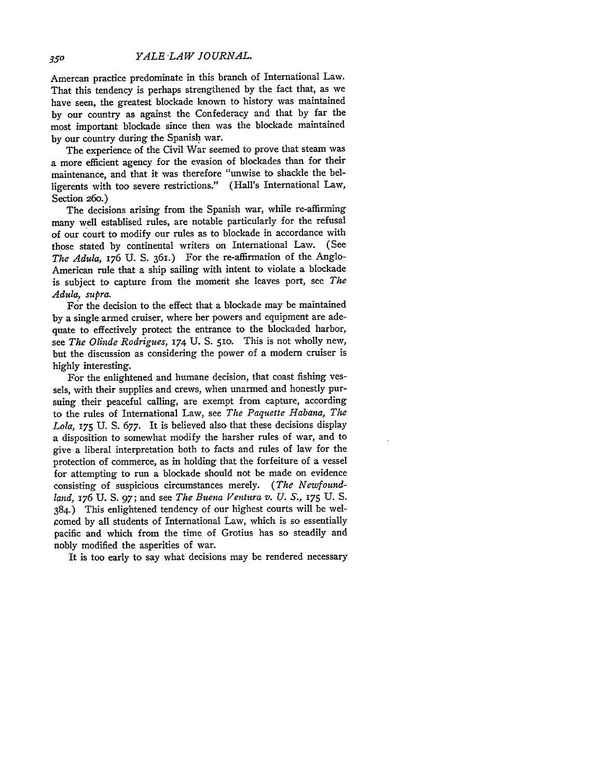*YALE LAW JOURNAL.*

Amercan practice predominate in this branch of International Law. That this tendency is perhaps strengthened by the fact that, as we have seen, the greatest blockade known to history was maintained by our country as against the Confederacy and that by far the most important blockade since then was the blockade maintained by our country during the Spanish war.

The experience of the Civil War seemed to prove that steam was a more efficient agency for the evasion of blockades than for their maintenance, and that it was therefore "unwise to shackle the bel-<br>ligerents with too severe restrictions." (Hall's International Law, ligerents with too severe restrictions." Section **26o.)**

The decisions arising from the Spanish war, while re-affirming many well establised rules, are notable particularly for the refusal of our court to modify our rules as to blockade in accordance with those stated **by** continental writers on International Law. (See *The Adula,* 176 U. **S.** 361.) For the re-affirmation of the Anglo-American rule that a ship sailing with intent to violate a blockade is subject to capture from the moment she leaves port, see *The Adula, supra.*

For the decision to the effect that a blockade may be maintained by a single armed cruiser, where her powers and equipment are adequate to effectively protect the entrance to the blockaded harbor, see *The Olinde Rodrigues,* 174 U. **S.** 51o. This is not wholly new, but the discussion as considering the power of a modem cruiser is highly interesting.

For the enlightened and humane decision, that coast fishing vessels, with their supplies and crews, when unarmed and honestly pursuing their peaceful calling, are exempt from capture, according to the rules of International Law, see *The Paquette Habana, The Lola,* **175** U. **S.** 677. It is believed also that these decisions display a disposition to somewhat modify the harsher rules of war, and to give a liberal interpretation both to facts and rules of law for the protection of commerce, as in holding that the forfeiture of a vessel for attempting to run a blockade should not be made on evidence consisting of suspicious circumstances merely. *(The Newfoundland,* 176 U. **S.** 97; and see *The Buena Ventura v. U. S.,* 175 U. S. 384.) This enlightened tendency of our highest courts will be wel comed by all students of International Law, which is so essentially pacific and which from the time of Grotius has so steadily and nobly modified the asperities of war.

It is too early to say what decisions may be rendered necessary

350